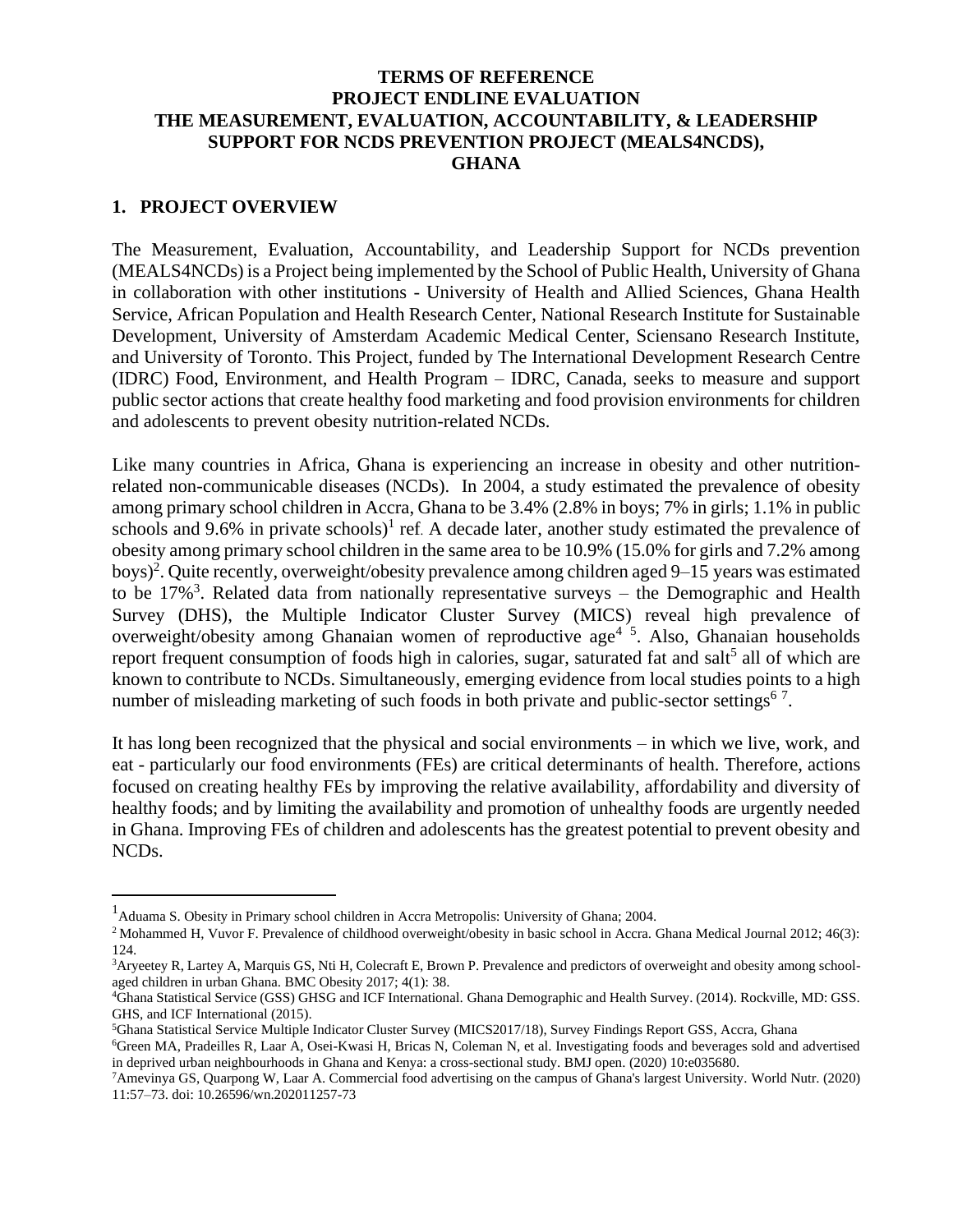### **TERMS OF REFERENCE PROJECT ENDLINE EVALUATION THE MEASUREMENT, EVALUATION, ACCOUNTABILITY, & LEADERSHIP SUPPORT FOR NCDS PREVENTION PROJECT (MEALS4NCDS), GHANA**

### **1. PROJECT OVERVIEW**

The Measurement, Evaluation, Accountability, and Leadership Support for NCDs prevention (MEALS4NCDs) is a Project being implemented by the School of Public Health, University of Ghana in collaboration with other institutions - University of Health and Allied Sciences, Ghana Health Service, African Population and Health Research Center, National Research Institute for Sustainable Development, University of Amsterdam Academic Medical Center, Sciensano Research Institute, and University of Toronto. This Project, funded by The International Development Research Centre (IDRC) Food, Environment, and Health Program – IDRC, Canada, seeks to measure and support public sector actions that create healthy food marketing and food provision environments for children and adolescents to prevent obesity nutrition-related NCDs.

Like many countries in Africa, Ghana is experiencing an increase in obesity and other nutritionrelated non-communicable diseases (NCDs). In 2004, a study estimated the prevalence of obesity among primary school children in Accra, Ghana to be 3.4% (2.8% in boys; 7% in girls; 1.1% in public schools and  $9.6\%$  in private schools)<sup>1</sup> ref. A decade later, another study estimated the prevalence of obesity among primary school children in the same area to be 10.9% (15.0% for girls and 7.2% among boys)<sup>2</sup>. Quite recently, overweight/obesity prevalence among children aged 9–15 years was estimated to be 17%<sup>3</sup>. Related data from nationally representative surveys – the Demographic and Health Survey (DHS), the Multiple Indicator Cluster Survey (MICS) reveal high prevalence of overweight/obesity among Ghanaian women of reproductive age<sup>45</sup>. Also, Ghanaian households report frequent consumption of foods high in calories, sugar, saturated fat and salt<sup>5</sup> all of which are known to contribute to NCDs. Simultaneously, emerging evidence from local studies points to a high number of misleading marketing of such foods in both private and public-sector settings<sup>67</sup>.

It has long been recognized that the physical and social environments – in which we live, work, and eat - particularly our food environments (FEs) are critical determinants of health. Therefore, actions focused on creating healthy FEs by improving the relative availability, affordability and diversity of healthy foods; and by limiting the availability and promotion of unhealthy foods are urgently needed in Ghana. Improving FEs of children and adolescents has the greatest potential to prevent obesity and NCDs.

<sup>&</sup>lt;sup>1</sup> Aduama S. Obesity in Primary school children in Accra Metropolis: University of Ghana; 2004.

<sup>&</sup>lt;sup>2</sup> Mohammed H, Vuvor F. Prevalence of childhood overweight/obesity in basic school in Accra. Ghana Medical Journal 2012; 46(3): 124.

<sup>&</sup>lt;sup>3</sup>Aryeetey R, Lartey A, Marquis GS, Nti H, Colecraft E, Brown P. Prevalence and predictors of overweight and obesity among schoolaged children in urban Ghana. BMC Obesity 2017; 4(1): 38.

<sup>4</sup>Ghana Statistical Service (GSS) GHSG and ICF International. Ghana Demographic and Health Survey. (2014). Rockville, MD: GSS. GHS, and ICF International (2015).

<sup>5</sup>Ghana Statistical Service Multiple Indicator Cluster Survey (MICS2017/18), Survey Findings Report GSS, Accra, Ghana

<sup>6</sup>Green MA, Pradeilles R, Laar A, Osei-Kwasi H, Bricas N, Coleman N, et al. Investigating foods and beverages sold and advertised in deprived urban neighbourhoods in Ghana and Kenya: a cross-sectional study. BMJ open. (2020) 10:e035680.

<sup>7</sup>Amevinya GS, Quarpong W, Laar A. Commercial food advertising on the campus of Ghana's largest University. World Nutr. (2020) 11:57–73. doi: 10.26596/wn.202011257-73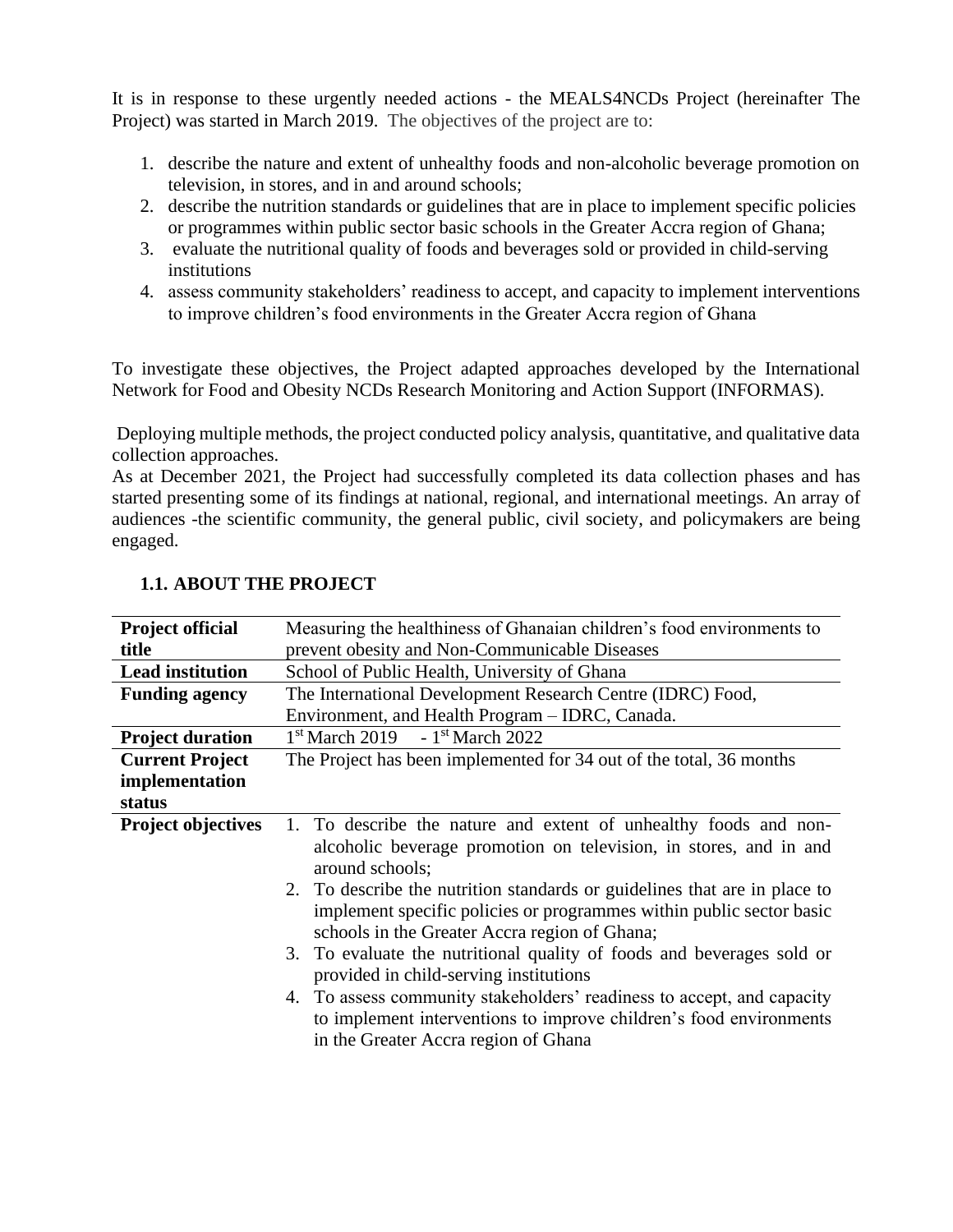It is in response to these urgently needed actions - the MEALS4NCDs Project (hereinafter The Project) was started in March 2019. The objectives of the project are to:

- 1. describe the nature and extent of unhealthy foods and non-alcoholic beverage promotion on television, in stores, and in and around schools;
- 2. describe the nutrition standards or guidelines that are in place to implement specific policies or programmes within public sector basic schools in the Greater Accra region of Ghana;
- 3. evaluate the nutritional quality of foods and beverages sold or provided in child-serving institutions
- 4. assess community stakeholders' readiness to accept, and capacity to implement interventions to improve children's food environments in the Greater Accra region of Ghana

To investigate these objectives, the Project adapted approaches developed by the International Network for Food and Obesity NCDs Research Monitoring and Action Support (INFORMAS).

Deploying multiple methods, the project conducted policy analysis, quantitative, and qualitative data collection approaches.

As at December 2021, the Project had successfully completed its data collection phases and has started presenting some of its findings at national, regional, and international meetings. An array of audiences -the scientific community, the general public, civil society, and policymakers are being engaged.

### **1.1. ABOUT THE PROJECT**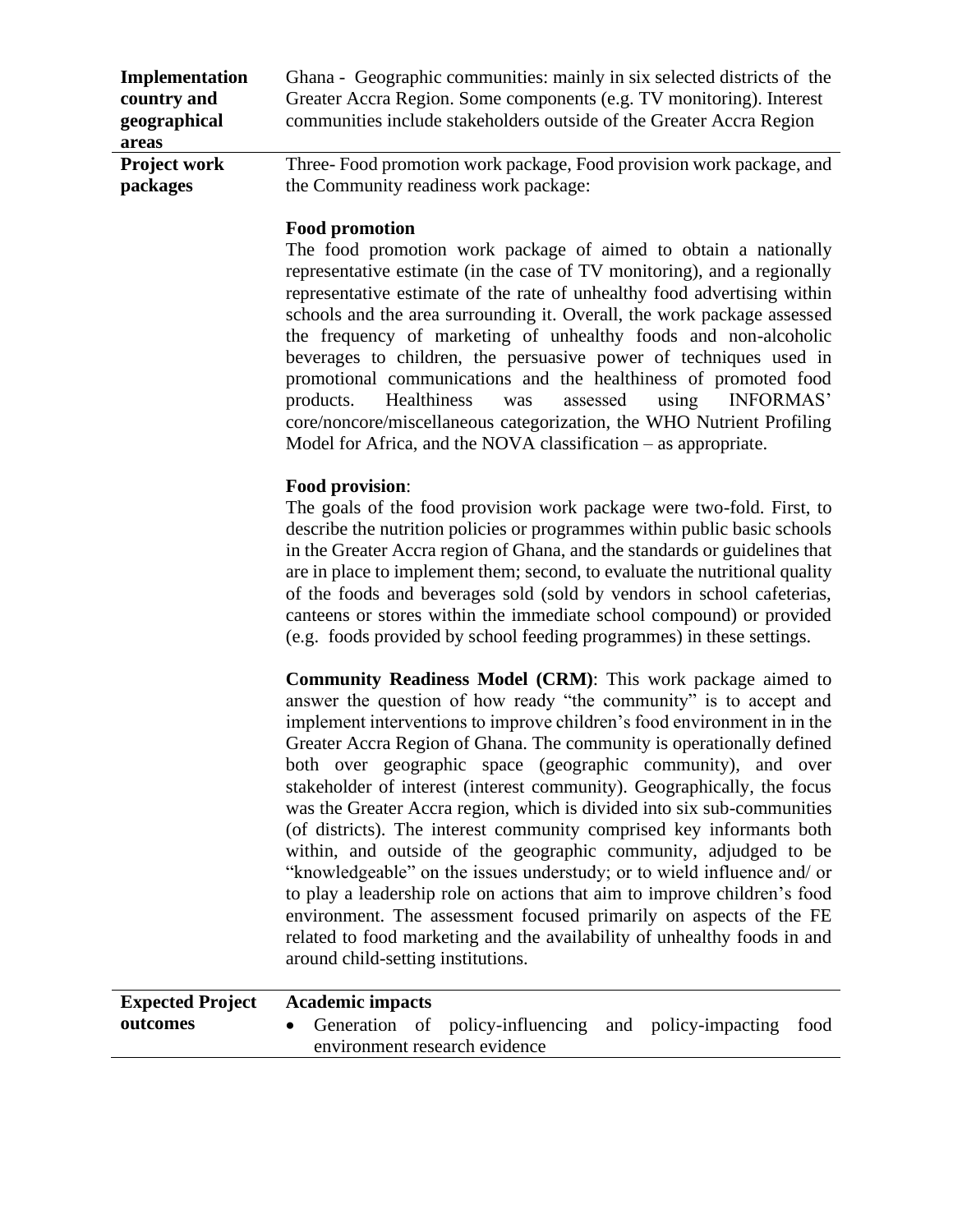| Implementation      | Ghana - Geographic communities: mainly in six selected districts of the |
|---------------------|-------------------------------------------------------------------------|
| country and         | Greater Accra Region. Some components (e.g. TV monitoring). Interest    |
| geographical        | communities include stakeholders outside of the Greater Accra Region    |
| areas               |                                                                         |
| <b>Project work</b> | Three-Food promotion work package, Food provision work package, and     |
| packages            | the Community readiness work package:                                   |

### **Food promotion**

The food promotion work package of aimed to obtain a nationally representative estimate (in the case of TV monitoring), and a regionally representative estimate of the rate of unhealthy food advertising within schools and the area surrounding it. Overall, the work package assessed the frequency of marketing of unhealthy foods and non-alcoholic beverages to children, the persuasive power of techniques used in promotional communications and the healthiness of promoted food products. Healthiness was assessed using INFORMAS' core/noncore/miscellaneous categorization, the WHO Nutrient Profiling Model for Africa, and the NOVA classification – as appropriate.

### **Food provision**:

The goals of the food provision work package were two-fold. First, to describe the nutrition policies or programmes within public basic schools in the Greater Accra region of Ghana, and the standards or guidelines that are in place to implement them; second, to evaluate the nutritional quality of the foods and beverages sold (sold by vendors in school cafeterias, canteens or stores within the immediate school compound) or provided (e.g. foods provided by school feeding programmes) in these settings.

**Community Readiness Model (CRM)**: This work package aimed to answer the question of how ready "the community" is to accept and implement interventions to improve children's food environment in in the Greater Accra Region of Ghana. The community is operationally defined both over geographic space (geographic community), and over stakeholder of interest (interest community). Geographically, the focus was the Greater Accra region, which is divided into six sub-communities (of districts). The interest community comprised key informants both within, and outside of the geographic community, adjudged to be "knowledgeable" on the issues understudy; or to wield influence and/ or to play a leadership role on actions that aim to improve children's food environment. The assessment focused primarily on aspects of the FE related to food marketing and the availability of unhealthy foods in and around child-setting institutions.

| <b>Expected Project</b> |                               | <b>Academic impacts</b> |  |                                                            |  |  |  |
|-------------------------|-------------------------------|-------------------------|--|------------------------------------------------------------|--|--|--|
| outcomes                |                               |                         |  | Generation of policy-influencing and policy-impacting food |  |  |  |
|                         | environment research evidence |                         |  |                                                            |  |  |  |
|                         |                               |                         |  |                                                            |  |  |  |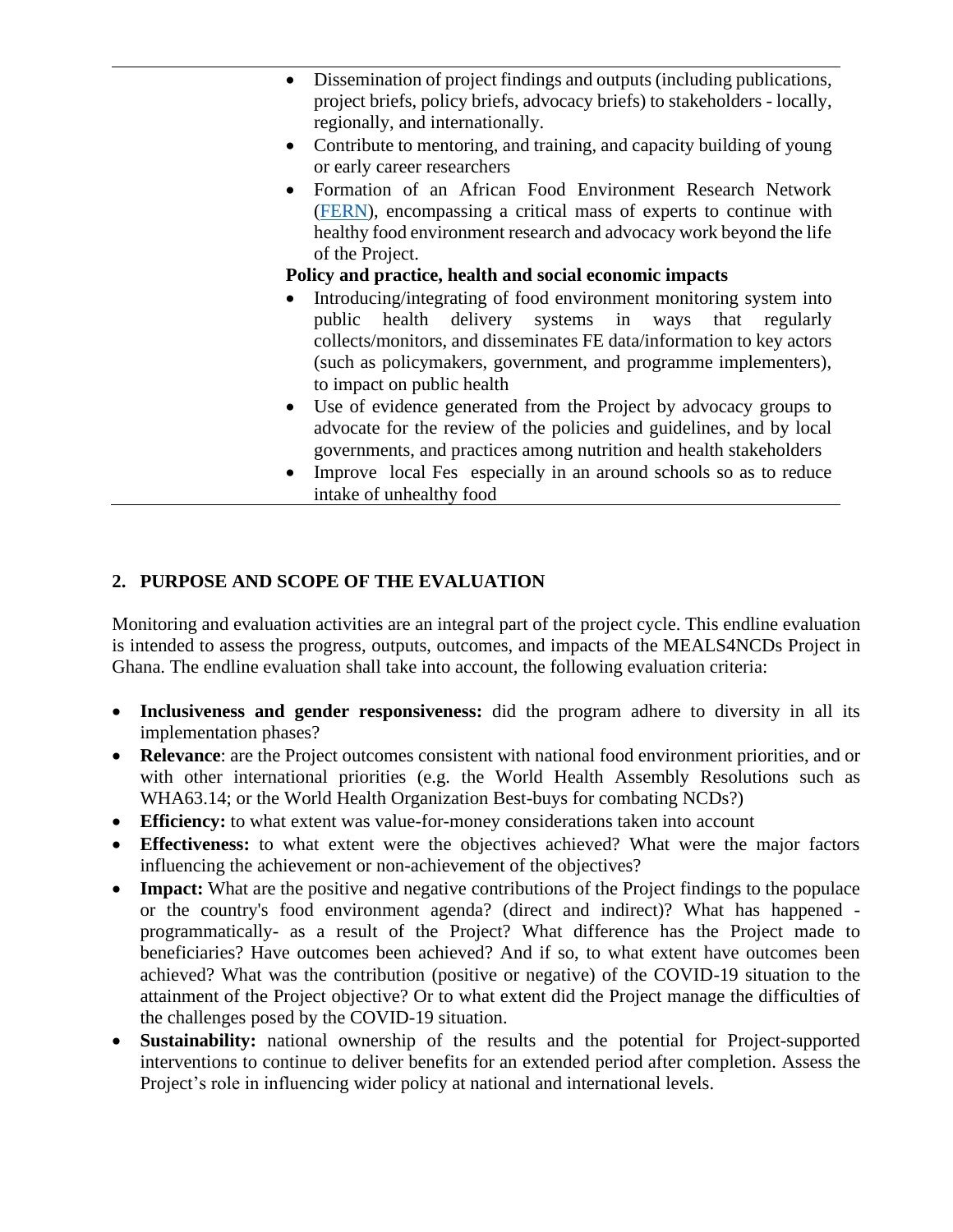- Dissemination of project findings and outputs (including publications, project briefs, policy briefs, advocacy briefs) to stakeholders - locally, regionally, and internationally.
- Contribute to mentoring, and training, and capacity building of young or early career researchers
- Formation of an African Food Environment Research Network [\(FERN\)](https://www.meals4ncds.org/en/fern-initiative/), encompassing a critical mass of experts to continue with healthy food environment research and advocacy work beyond the life of the Project.

### **Policy and practice, health and social economic impacts**

- Introducing/integrating of food environment monitoring system into public health delivery systems in ways that regularly collects/monitors, and disseminates FE data/information to key actors (such as policymakers, government, and programme implementers), to impact on public health
- Use of evidence generated from the Project by advocacy groups to advocate for the review of the policies and guidelines, and by local governments, and practices among nutrition and health stakeholders
- Improve local Fes especially in an around schools so as to reduce intake of unhealthy food

### **2. PURPOSE AND SCOPE OF THE EVALUATION**

Monitoring and evaluation activities are an integral part of the project cycle. This endline evaluation is intended to assess the progress, outputs, outcomes, and impacts of the MEALS4NCDs Project in Ghana. The endline evaluation shall take into account, the following evaluation criteria:

- **Inclusiveness and gender responsiveness:** did the program adhere to diversity in all its implementation phases?
- **Relevance**: are the Project outcomes consistent with national food environment priorities, and or with other international priorities (e.g. the World Health Assembly Resolutions such as WHA63.14; or the World Health Organization Best-buys for combating NCDs?)
- **Efficiency:** to what extent was value-for-money considerations taken into account
- **Effectiveness:** to what extent were the objectives achieved? What were the major factors influencing the achievement or non-achievement of the objectives?
- **Impact:** What are the positive and negative contributions of the Project findings to the populace or the country's food environment agenda? (direct and indirect)? What has happened programmatically- as a result of the Project? What difference has the Project made to beneficiaries? Have outcomes been achieved? And if so, to what extent have outcomes been achieved? What was the contribution (positive or negative) of the COVID-19 situation to the attainment of the Project objective? Or to what extent did the Project manage the difficulties of the challenges posed by the COVID-19 situation.
- **Sustainability:** national ownership of the results and the potential for Project-supported interventions to continue to deliver benefits for an extended period after completion. Assess the Project's role in influencing wider policy at national and international levels.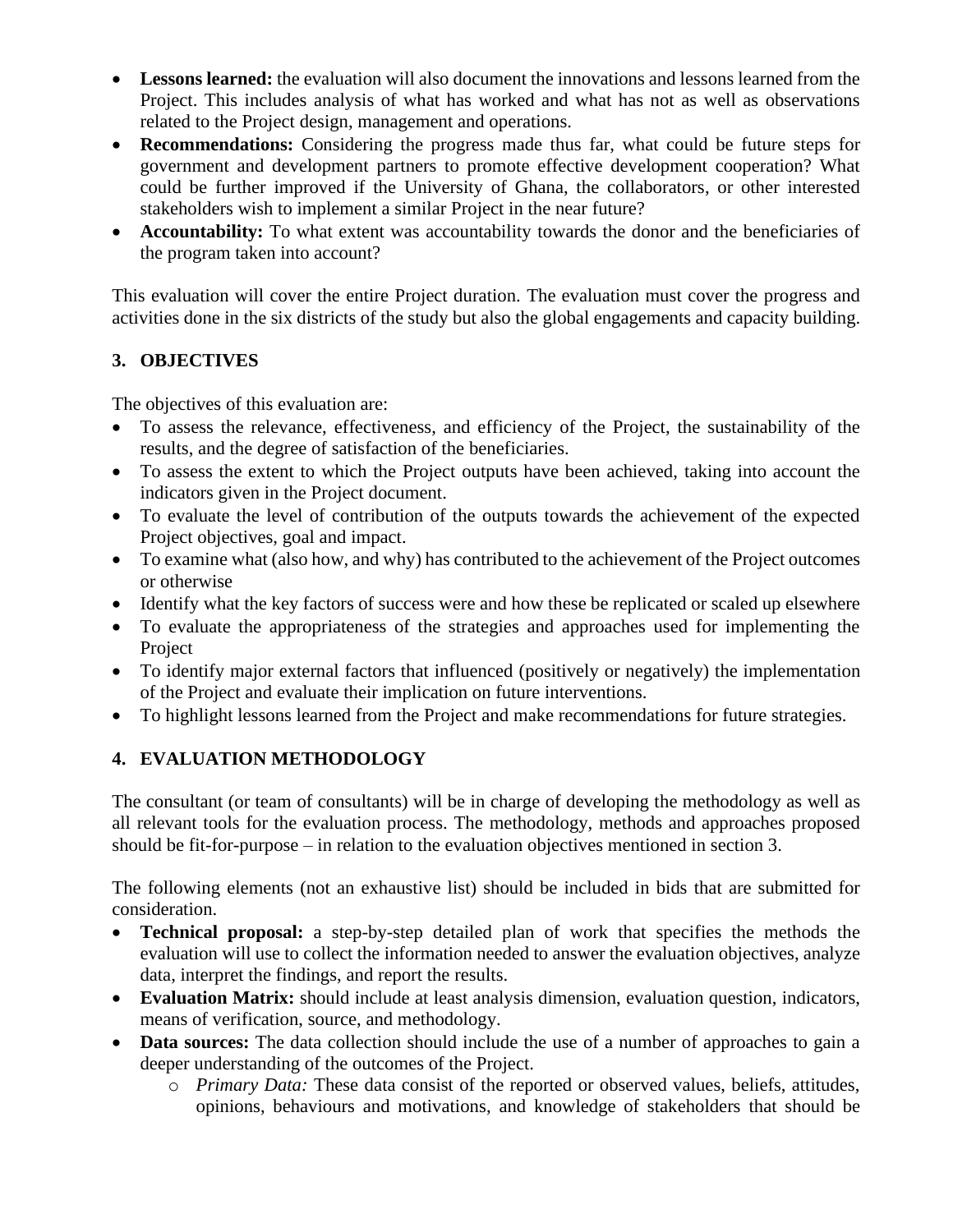- **Lessons learned:** the evaluation will also document the innovations and lessons learned from the Project. This includes analysis of what has worked and what has not as well as observations related to the Project design, management and operations.
- **Recommendations:** Considering the progress made thus far, what could be future steps for government and development partners to promote effective development cooperation? What could be further improved if the University of Ghana, the collaborators, or other interested stakeholders wish to implement a similar Project in the near future?
- **Accountability:** To what extent was accountability towards the donor and the beneficiaries of the program taken into account?

This evaluation will cover the entire Project duration. The evaluation must cover the progress and activities done in the six districts of the study but also the global engagements and capacity building.

## **3. OBJECTIVES**

The objectives of this evaluation are:

- To assess the relevance, effectiveness, and efficiency of the Project, the sustainability of the results, and the degree of satisfaction of the beneficiaries.
- To assess the extent to which the Project outputs have been achieved, taking into account the indicators given in the Project document.
- To evaluate the level of contribution of the outputs towards the achievement of the expected Project objectives, goal and impact.
- To examine what (also how, and why) has contributed to the achievement of the Project outcomes or otherwise
- Identify what the key factors of success were and how these be replicated or scaled up elsewhere
- To evaluate the appropriateness of the strategies and approaches used for implementing the Project
- To identify major external factors that influenced (positively or negatively) the implementation of the Project and evaluate their implication on future interventions.
- To highlight lessons learned from the Project and make recommendations for future strategies.

## **4. EVALUATION METHODOLOGY**

The consultant (or team of consultants) will be in charge of developing the methodology as well as all relevant tools for the evaluation process. The methodology, methods and approaches proposed should be fit-for-purpose – in relation to the evaluation objectives mentioned in section 3.

The following elements (not an exhaustive list) should be included in bids that are submitted for consideration.

- **Technical proposal:** a step-by-step detailed plan of work that specifies the methods the evaluation will use to collect the information needed to answer the evaluation objectives, analyze data, interpret the findings, and report the results.
- **Evaluation Matrix:** should include at least analysis dimension, evaluation question, indicators, means of verification, source, and methodology.
- **Data sources:** The data collection should include the use of a number of approaches to gain a deeper understanding of the outcomes of the Project.
	- o *Primary Data:* These data consist of the reported or observed values, beliefs, attitudes, opinions, behaviours and motivations, and knowledge of stakeholders that should be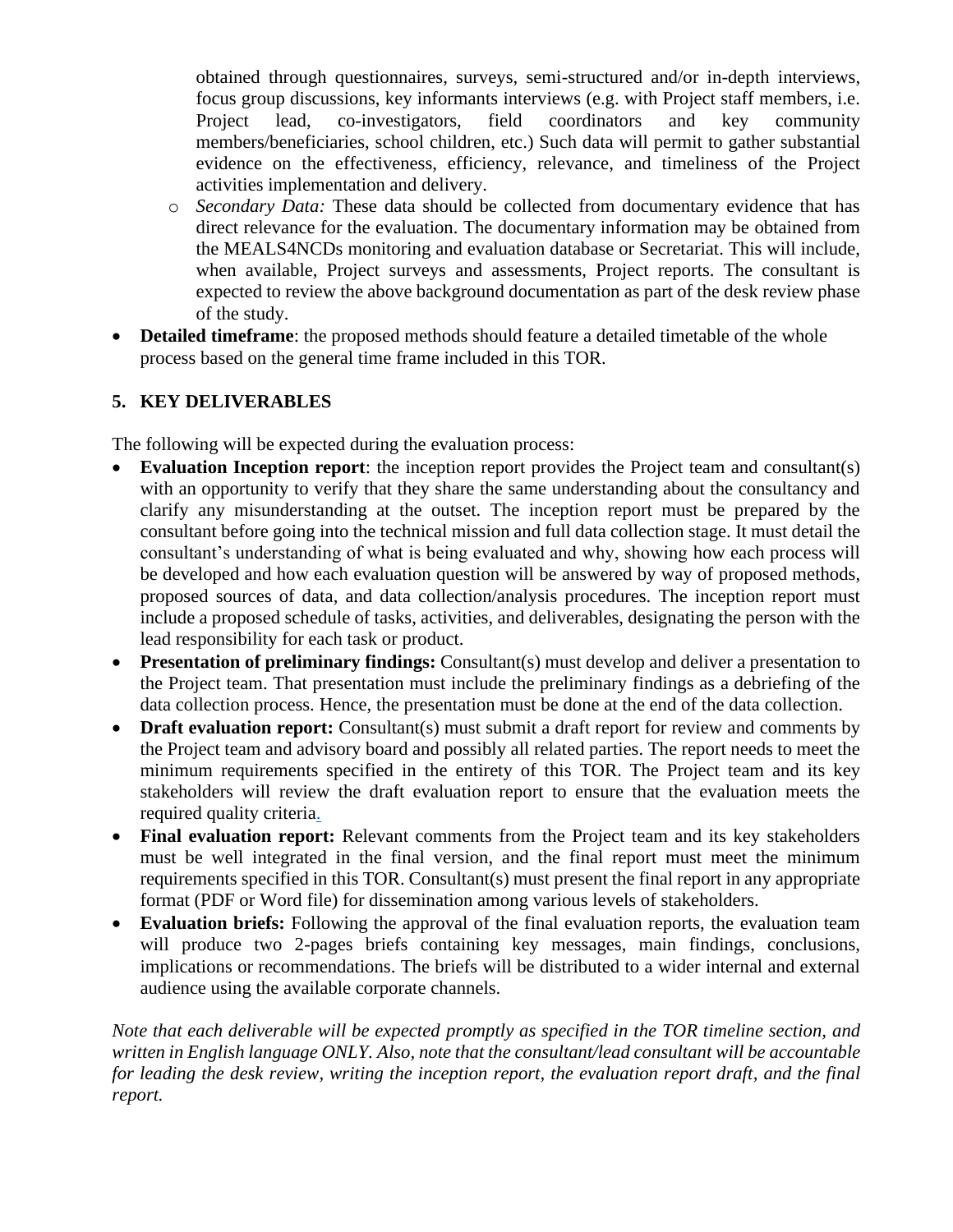obtained through questionnaires, surveys, semi-structured and/or in-depth interviews, focus group discussions, key informants interviews (e.g. with Project staff members, i.e. Project lead, co-investigators, field coordinators and key community members/beneficiaries, school children, etc.) Such data will permit to gather substantial evidence on the effectiveness, efficiency, relevance, and timeliness of the Project activities implementation and delivery.

- o *Secondary Data:* These data should be collected from documentary evidence that has direct relevance for the evaluation. The documentary information may be obtained from the MEALS4NCDs monitoring and evaluation database or Secretariat. This will include, when available, Project surveys and assessments, Project reports. The consultant is expected to review the above background documentation as part of the desk review phase of the study.
- **Detailed timeframe**: the proposed methods should feature a detailed timetable of the whole process based on the general time frame included in this TOR.

## **5. KEY DELIVERABLES**

The following will be expected during the evaluation process:

- **Evaluation Inception report**: the inception report provides the Project team and consultant(s) with an opportunity to verify that they share the same understanding about the consultancy and clarify any misunderstanding at the outset. The inception report must be prepared by the consultant before going into the technical mission and full data collection stage. It must detail the consultant's understanding of what is being evaluated and why, showing how each process will be developed and how each evaluation question will be answered by way of proposed methods, proposed sources of data, and data collection/analysis procedures. The inception report must include a proposed schedule of tasks, activities, and deliverables, designating the person with the lead responsibility for each task or product.
- **Presentation of preliminary findings:** Consultant(s) must develop and deliver a presentation to the Project team. That presentation must include the preliminary findings as a debriefing of the data collection process. Hence, the presentation must be done at the end of the data collection.
- **Draft evaluation report:** Consultant(s) must submit a draft report for review and comments by the Project team and advisory board and possibly all related parties. The report needs to meet the minimum requirements specified in the entirety of this TOR. The Project team and its key stakeholders will review the draft evaluation report to ensure that the evaluation meets the required quality criteria.
- **Final evaluation report:** Relevant comments from the Project team and its key stakeholders must be well integrated in the final version, and the final report must meet the minimum requirements specified in this TOR. Consultant(s) must present the final report in any appropriate format (PDF or Word file) for dissemination among various levels of stakeholders.
- **Evaluation briefs:** Following the approval of the final evaluation reports, the evaluation team will produce two 2-pages briefs containing key messages, main findings, conclusions, implications or recommendations. The briefs will be distributed to a wider internal and external audience using the available corporate channels.

*Note that each deliverable will be expected promptly as specified in the TOR timeline section, and written in English language ONLY. Also, note that the consultant/lead consultant will be accountable for leading the desk review, writing the inception report, the evaluation report draft, and the final report.*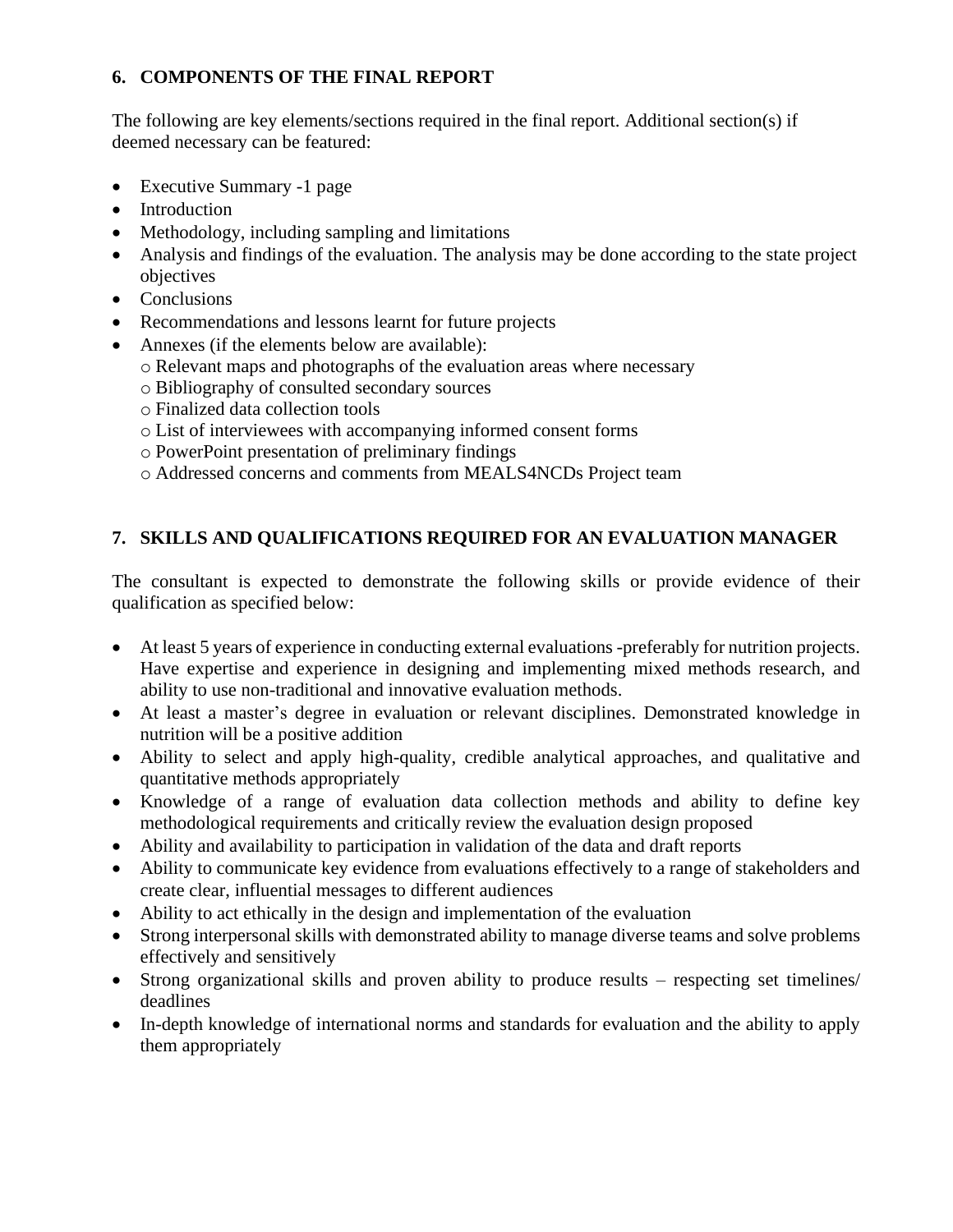### **6. COMPONENTS OF THE FINAL REPORT**

The following are key elements/sections required in the final report. Additional section(s) if deemed necessary can be featured:

- Executive Summary -1 page
- Introduction
- Methodology, including sampling and limitations
- Analysis and findings of the evaluation. The analysis may be done according to the state project objectives
- Conclusions
- Recommendations and lessons learnt for future projects
- Annexes (if the elements below are available):
	- o Relevant maps and photographs of the evaluation areas where necessary
	- o Bibliography of consulted secondary sources
	- o Finalized data collection tools
	- o List of interviewees with accompanying informed consent forms
	- o PowerPoint presentation of preliminary findings
	- o Addressed concerns and comments from MEALS4NCDs Project team

# **7. SKILLS AND QUALIFICATIONS REQUIRED FOR AN EVALUATION MANAGER**

The consultant is expected to demonstrate the following skills or provide evidence of their qualification as specified below:

- At least 5 years of experience in conducting external evaluations -preferably for nutrition projects. Have expertise and experience in designing and implementing mixed methods research, and ability to use non-traditional and innovative evaluation methods.
- At least a master's degree in evaluation or relevant disciplines. Demonstrated knowledge in nutrition will be a positive addition
- Ability to select and apply high-quality, credible analytical approaches, and qualitative and quantitative methods appropriately
- Knowledge of a range of evaluation data collection methods and ability to define key methodological requirements and critically review the evaluation design proposed
- Ability and availability to participation in validation of the data and draft reports
- Ability to communicate key evidence from evaluations effectively to a range of stakeholders and create clear, influential messages to different audiences
- Ability to act ethically in the design and implementation of the evaluation
- Strong interpersonal skills with demonstrated ability to manage diverse teams and solve problems effectively and sensitively
- Strong organizational skills and proven ability to produce results respecting set timelines/ deadlines
- In-depth knowledge of international norms and standards for evaluation and the ability to apply them appropriately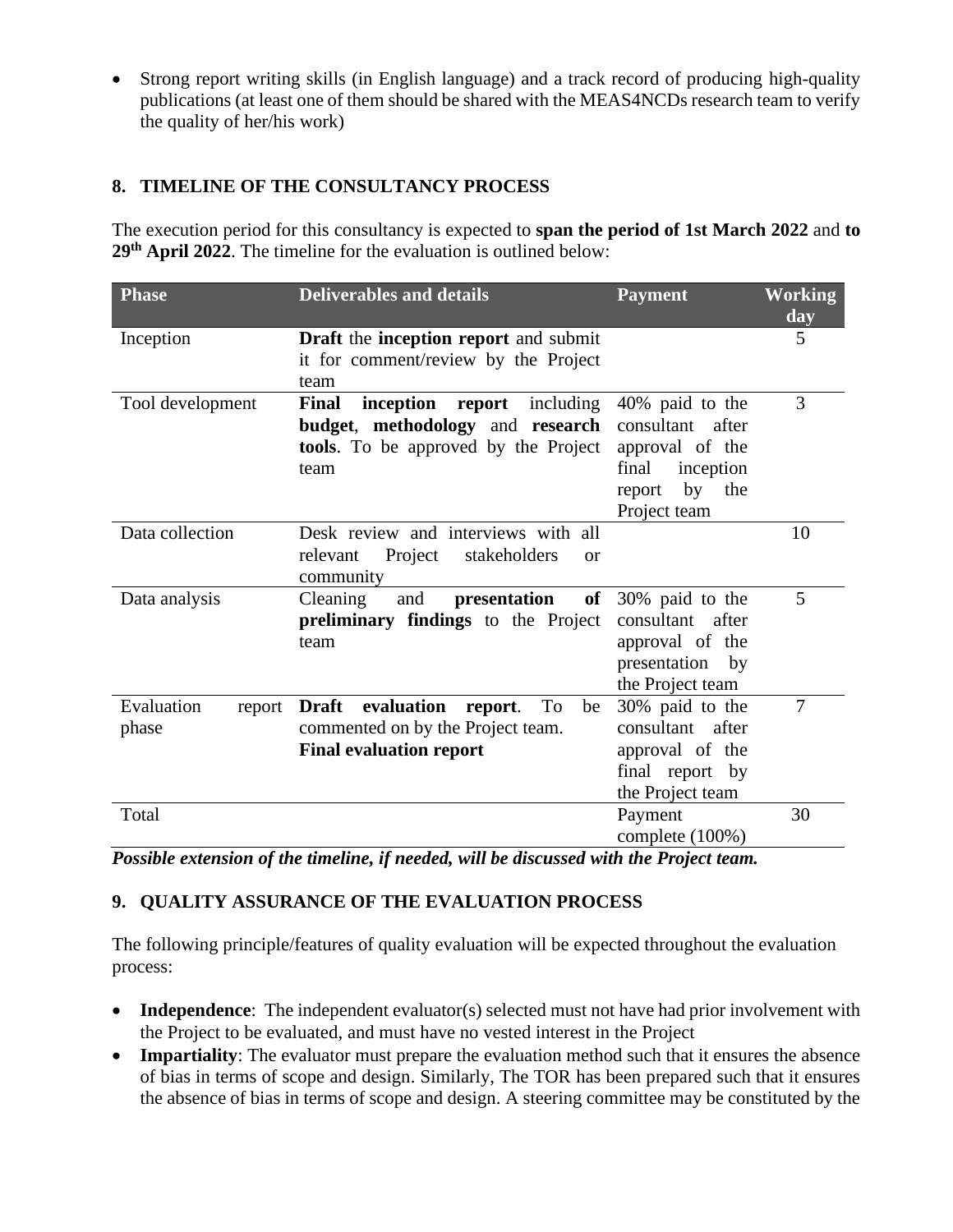• Strong report writing skills (in English language) and a track record of producing high-quality publications (at least one of them should be shared with the MEAS4NCDs research team to verify the quality of her/his work)

### **8. TIMELINE OF THE CONSULTANCY PROCESS**

The execution period for this consultancy is expected to **span the period of 1st March 2022** and **to 29th April 2022**. The timeline for the evaluation is outlined below:

| <b>Phase</b>                  | <b>Deliverables and details</b>                                                                                                    | <b>Payment</b>                                                                                                   | <b>Working</b><br>day |
|-------------------------------|------------------------------------------------------------------------------------------------------------------------------------|------------------------------------------------------------------------------------------------------------------|-----------------------|
| Inception                     | Draft the inception report and submit<br>it for comment/review by the Project<br>team                                              |                                                                                                                  | 5                     |
| Tool development              | Final<br>inception report<br>including<br>budget, methodology and research<br><b>tools</b> . To be approved by the Project<br>team | 40% paid to the<br>consultant after<br>approval of the<br>final<br>inception<br>by the<br>report<br>Project team | 3                     |
| Data collection               | Desk review and interviews with all<br>Project<br>stakeholders<br>relevant<br><sub>or</sub><br>community                           |                                                                                                                  | 10                    |
| Data analysis                 | Cleaning<br>presentation<br>of<br>and<br>preliminary findings to the Project<br>team                                               | 30% paid to the<br>consultant<br>after<br>approval of the<br>presentation<br>by<br>the Project team              | 5                     |
| Evaluation<br>report<br>phase | evaluation<br><b>Draft</b><br>report.<br>To<br>be<br>commented on by the Project team.<br><b>Final evaluation report</b>           | 30% paid to the<br>consultant after<br>approval of the<br>final report by<br>the Project team                    | 7                     |
| Total                         |                                                                                                                                    | Payment<br>complete (100%)                                                                                       | 30                    |

*Possible extension of the timeline, if needed, will be discussed with the Project team.*

## **9. QUALITY ASSURANCE OF THE EVALUATION PROCESS**

The following principle/features of quality evaluation will be expected throughout the evaluation process:

- **Independence**: The independent evaluator(s) selected must not have had prior involvement with the Project to be evaluated, and must have no vested interest in the Project
- **Impartiality**: The evaluator must prepare the evaluation method such that it ensures the absence of bias in terms of scope and design. Similarly, The TOR has been prepared such that it ensures the absence of bias in terms of scope and design. A steering committee may be constituted by the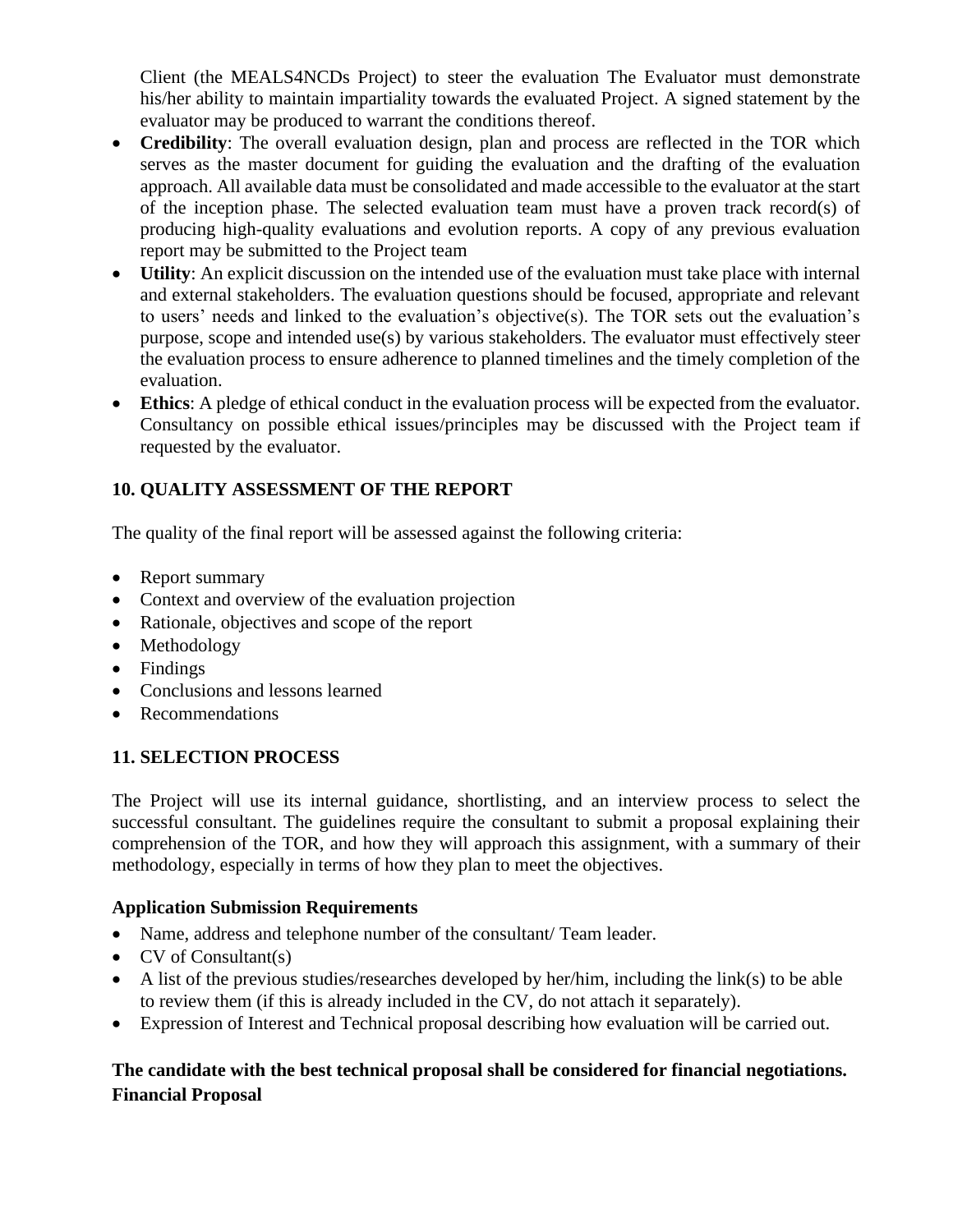Client (the MEALS4NCDs Project) to steer the evaluation The Evaluator must demonstrate his/her ability to maintain impartiality towards the evaluated Project. A signed statement by the evaluator may be produced to warrant the conditions thereof.

- **Credibility**: The overall evaluation design, plan and process are reflected in the TOR which serves as the master document for guiding the evaluation and the drafting of the evaluation approach. All available data must be consolidated and made accessible to the evaluator at the start of the inception phase. The selected evaluation team must have a proven track record(s) of producing high-quality evaluations and evolution reports. A copy of any previous evaluation report may be submitted to the Project team
- **Utility**: An explicit discussion on the intended use of the evaluation must take place with internal and external stakeholders. The evaluation questions should be focused, appropriate and relevant to users' needs and linked to the evaluation's objective(s). The TOR sets out the evaluation's purpose, scope and intended use(s) by various stakeholders. The evaluator must effectively steer the evaluation process to ensure adherence to planned timelines and the timely completion of the evaluation.
- **Ethics**: A pledge of ethical conduct in the evaluation process will be expected from the evaluator. Consultancy on possible ethical issues/principles may be discussed with the Project team if requested by the evaluator.

## **10. QUALITY ASSESSMENT OF THE REPORT**

The quality of the final report will be assessed against the following criteria:

- Report summary
- Context and overview of the evaluation projection
- Rationale, objectives and scope of the report
- Methodology
- Findings
- Conclusions and lessons learned
- Recommendations

## **11. SELECTION PROCESS**

The Project will use its internal guidance, shortlisting, and an interview process to select the successful consultant. The guidelines require the consultant to submit a proposal explaining their comprehension of the TOR, and how they will approach this assignment, with a summary of their methodology, especially in terms of how they plan to meet the objectives.

### **Application Submission Requirements**

- Name, address and telephone number of the consultant/ Team leader.
- CV of Consultant(s)
- A list of the previous studies/researches developed by her/him, including the link(s) to be able to review them (if this is already included in the CV, do not attach it separately).
- Expression of Interest and Technical proposal describing how evaluation will be carried out.

## **The candidate with the best technical proposal shall be considered for financial negotiations. Financial Proposal**